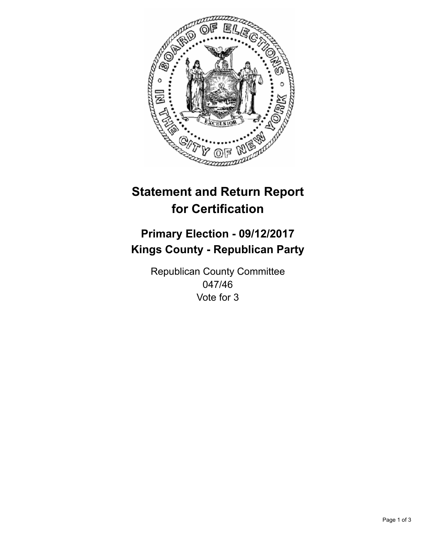

## **Statement and Return Report for Certification**

## **Primary Election - 09/12/2017 Kings County - Republican Party**

Republican County Committee 047/46 Vote for 3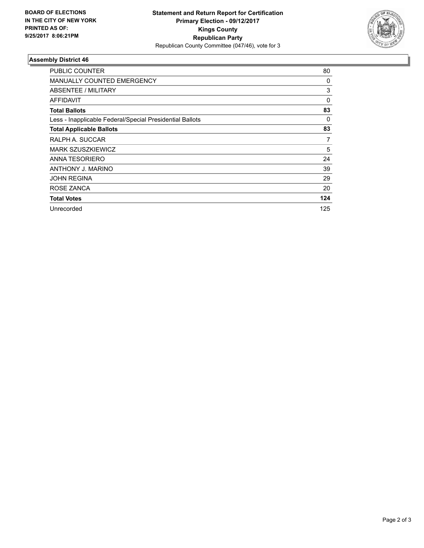

## **Assembly District 46**

| <b>PUBLIC COUNTER</b>                                    | 80  |
|----------------------------------------------------------|-----|
| <b>MANUALLY COUNTED EMERGENCY</b>                        | 0   |
| ABSENTEE / MILITARY                                      | 3   |
| AFFIDAVIT                                                | 0   |
| <b>Total Ballots</b>                                     | 83  |
| Less - Inapplicable Federal/Special Presidential Ballots | 0   |
| <b>Total Applicable Ballots</b>                          | 83  |
| RALPH A. SUCCAR                                          | 7   |
| <b>MARK SZUSZKIEWICZ</b>                                 | 5   |
| ANNA TESORIERO                                           | 24  |
| ANTHONY J. MARINO                                        | 39  |
| <b>JOHN REGINA</b>                                       | 29  |
| ROSE ZANCA                                               | 20  |
| <b>Total Votes</b>                                       | 124 |
| Unrecorded                                               | 125 |